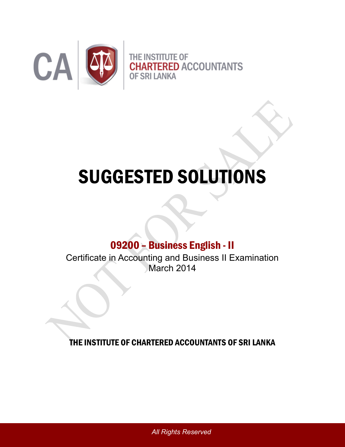

# SUGGESTED SOLUTIONS

## 09200 – Business English - II

Certificate in Accounting and Business II Examination March 2014

THE INSTITUTE OF CHARTERED ACCOUNTANTS OF SRI LANKA

*All Rights Reserved*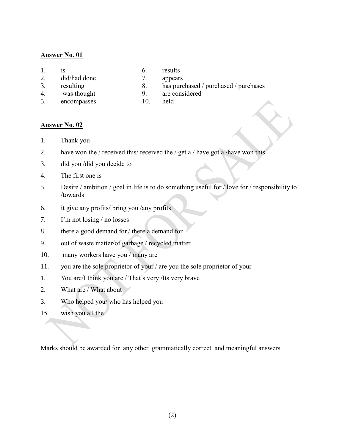#### **Answer No. 01**

- 2. did/had done 7. appears
- 
- 
- 5. encompasses 10. held
- 1. is 6. results
	-
- 3. resulting 8. has purchased / purchased / purchases
- 4. was thought 9. are considered
	-

#### **Answer No. 02**

- 1. Thank you
- 2. have won the / received this/ received the / get a / have got a /have won this
- 3. did you /did you decide to
- 4. The first one is
- 5. Desire / ambition / goal in life is to do something useful for / love for / responsibility to /towards
- 6. it give any profits/ bring you /any profits
- 7. I'm not losing / no losses
- 8. there a good demand for./ there a demand for
- 9. out of waste matter/of garbage / recycled matter
- 10. many workers have you / many are
- 11. you are the sole proprietor of your / are you the sole proprietor of your
- 1. You are/I think you are / That's very /Its very brave
- 2. What are / What about
- 3. Who helped you/ who has helped you
- 15. wish you all the

Marks should be awarded for any other grammatically correct and meaningful answers.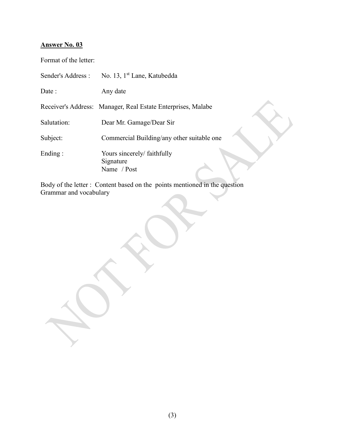### **Answer No. 03**

Format of the letter:

|             | Sender's Address : No. 13, 1 <sup>st</sup> Lane, Katubedda   |
|-------------|--------------------------------------------------------------|
| Date :      | Any date                                                     |
|             | Receiver's Address: Manager, Real Estate Enterprises, Malabe |
| Salutation: | Dear Mr. Gamage/Dear Sir                                     |
| Subject:    | Commercial Building/any other suitable one                   |
| Ending:     | Yours sincerely/ faithfully<br>Signature<br>Name / Post      |

Body of the letter : Content based on the points mentioned in the question Grammar and vocabulary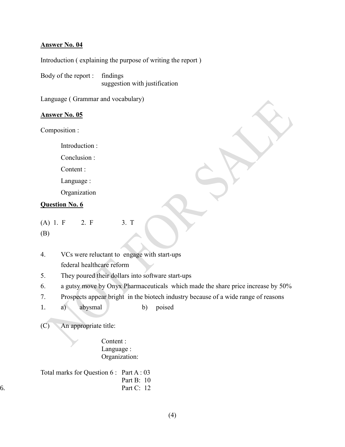#### **Answer No. 04**

Introduction ( explaining the purpose of writing the report )

Body of the report : findings suggestion with justification

Language ( Grammar and vocabulary)

#### **Answer No. 05**

Composition :

Introduction :

Conclusion :

Content :

Language :

Organization

#### **Question No. 6**

(A) 1. F 2. F 3. T

(B)

4. VCs were reluctant to engage with start-ups federal healthcare reform

- 5. They poured their dollars into software start-ups
- 6. a gutsy move by Onyx Pharmaceuticals which made the share price increase by 50%
- 7. Prospects appear bright in the biotech industry because of a wide range of reasons
- 1. a) abysmal b) poised

(C) An appropriate title:

Content : Language : Organization:

|    | Total marks for Question $6: Part A: 03$ |              |  |
|----|------------------------------------------|--------------|--|
|    |                                          | Part B: $10$ |  |
| 6. |                                          | Part C: $12$ |  |
|    |                                          |              |  |